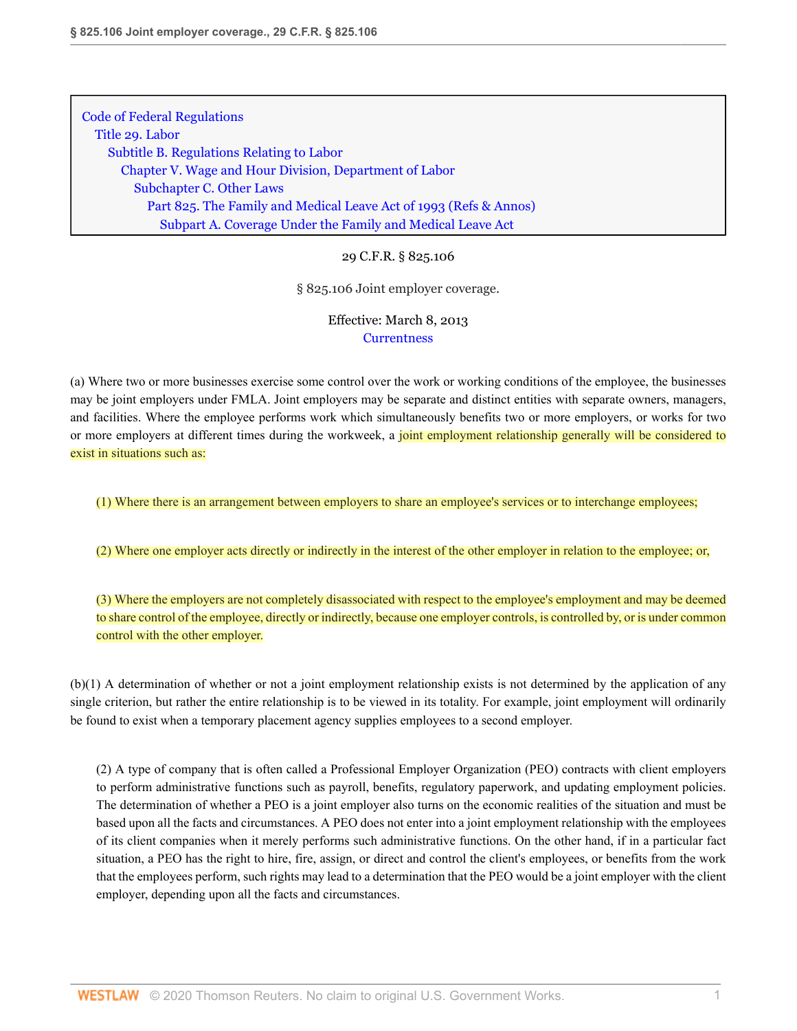[Code of Federal Regulations](http://www.westlaw.com/Browse/Home/Regulations/CodeofFederalRegulationsCFR?transitionType=DocumentItem&contextData=(sc.Category)&rs=clbt1.0&vr=3.0) [Title 29. Labor](http://www.westlaw.com/Browse/Home/Regulations/CodeofFederalRegulationsCFR?guid=NB2705200868811D983FAE1FB4EC4EA60&transitionType=DocumentItem&contextData=(sc.Category)&rs=clbt1.0&vr=3.0) [Subtitle B. Regulations Relating to Labor](http://www.westlaw.com/Browse/Home/Regulations/CodeofFederalRegulationsCFR?guid=N92F279B0868F11D983FAE1FB4EC4EA60&transitionType=DocumentItem&contextData=(sc.Category)&rs=clbt1.0&vr=3.0) [Chapter V. Wage and Hour Division, Department of Labor](http://www.westlaw.com/Browse/Home/Regulations/CodeofFederalRegulationsCFR?guid=N7D204620869011D983FAE1FB4EC4EA60&transitionType=DocumentItem&contextData=(sc.Category)&rs=clbt1.0&vr=3.0) [Subchapter C. Other Laws](http://www.westlaw.com/Browse/Home/Regulations/CodeofFederalRegulationsCFR?guid=NC45DC5C0869111D983FAE1FB4EC4EA60&transitionType=DocumentItem&contextData=(sc.Category)&rs=clbt1.0&vr=3.0) [Part 825. The Family and Medical Leave Act of 1993](http://www.westlaw.com/Browse/Home/Regulations/CodeofFederalRegulationsCFR?guid=N3D3086E070B811E2A64ED6D190F57BB6&transitionType=DocumentItem&contextData=(sc.Category)&rs=clbt1.0&vr=3.0) [\(Refs & Annos\)](http://www.westlaw.com/Link/Document/FullText?findType=l&cite=lk(CFRT29SUBTBCVSUBCCPT825R)&originatingDoc=N517717C070BF11E294A0D5E56FB15448&refType=CM&sourceCite=29+C.F.R.+%c2%a7+825.106&originationContext=document&vr=3.0&rs=cblt1.0&transitionType=DocumentItem&contextData=(sc.Category)) [Subpart A. Coverage Under the Family and Medical Leave Act](http://www.westlaw.com/Browse/Home/Regulations/CodeofFederalRegulationsCFR?guid=NB903BEE070B811E2A64ED6D190F57BB6&transitionType=DocumentItem&contextData=(sc.Category)&rs=clbt1.0&vr=3.0)

## 29 C.F.R. § 825.106

§ 825.106 Joint employer coverage.

Effective: March 8, 2013 **[Currentness](#page-1-0)** 

(a) Where two or more businesses exercise some control over the work or working conditions of the employee, the businesses may be joint employers under FMLA. Joint employers may be separate and distinct entities with separate owners, managers, and facilities. Where the employee performs work which simultaneously benefits two or more employers, or works for two or more employers at different times during the workweek, a joint employment relationship generally will be considered to exist in situations such as:

(1) Where there is an arrangement between employers to share an employee's services or to interchange employees;

(2) Where one employer acts directly or indirectly in the interest of the other employer in relation to the employee; or,

(3) Where the employers are not completely disassociated with respect to the employee's employment and may be deemed to share control of the employee, directly or indirectly, because one employer controls, is controlled by, or is under common control with the other employer.

(b)(1) A determination of whether or not a joint employment relationship exists is not determined by the application of any single criterion, but rather the entire relationship is to be viewed in its totality. For example, joint employment will ordinarily be found to exist when a temporary placement agency supplies employees to a second employer.

(2) A type of company that is often called a Professional Employer Organization (PEO) contracts with client employers to perform administrative functions such as payroll, benefits, regulatory paperwork, and updating employment policies. The determination of whether a PEO is a joint employer also turns on the economic realities of the situation and must be based upon all the facts and circumstances. A PEO does not enter into a joint employment relationship with the employees of its client companies when it merely performs such administrative functions. On the other hand, if in a particular fact situation, a PEO has the right to hire, fire, assign, or direct and control the client's employees, or benefits from the work that the employees perform, such rights may lead to a determination that the PEO would be a joint employer with the client employer, depending upon all the facts and circumstances.